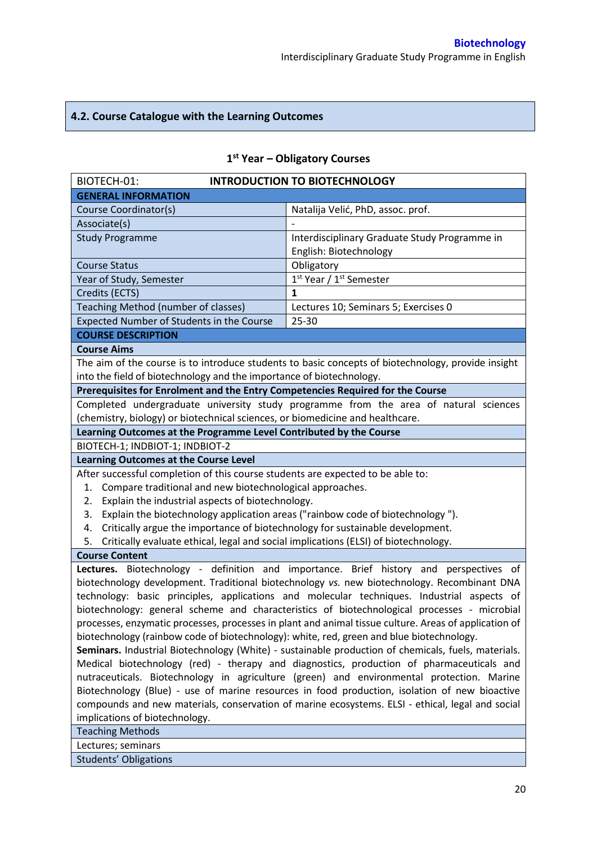# **4.2. Course Catalogue with the Learning Outcomes**

| BIOTECH-01:                                                                                           | <b>INTRODUCTION TO BIOTECHNOLOGY</b>                                                               |  |  |  |
|-------------------------------------------------------------------------------------------------------|----------------------------------------------------------------------------------------------------|--|--|--|
| <b>GENERAL INFORMATION</b>                                                                            |                                                                                                    |  |  |  |
| Course Coordinator(s)                                                                                 | Natalija Velić, PhD, assoc. prof.                                                                  |  |  |  |
| Associate(s)                                                                                          |                                                                                                    |  |  |  |
| <b>Study Programme</b>                                                                                | Interdisciplinary Graduate Study Programme in                                                      |  |  |  |
|                                                                                                       | English: Biotechnology                                                                             |  |  |  |
| <b>Course Status</b>                                                                                  | Obligatory                                                                                         |  |  |  |
| Year of Study, Semester                                                                               | $1st$ Year / 1 <sup>st</sup> Semester                                                              |  |  |  |
| Credits (ECTS)                                                                                        | 1                                                                                                  |  |  |  |
| Teaching Method (number of classes)                                                                   | Lectures 10; Seminars 5; Exercises 0                                                               |  |  |  |
| Expected Number of Students in the Course                                                             | $25 - 30$                                                                                          |  |  |  |
| <b>COURSE DESCRIPTION</b>                                                                             |                                                                                                    |  |  |  |
| <b>Course Aims</b>                                                                                    |                                                                                                    |  |  |  |
|                                                                                                       | The aim of the course is to introduce students to basic concepts of biotechnology, provide insight |  |  |  |
| into the field of biotechnology and the importance of biotechnology.                                  |                                                                                                    |  |  |  |
| Prerequisites for Enrolment and the Entry Competencies Required for the Course                        |                                                                                                    |  |  |  |
|                                                                                                       | Completed undergraduate university study programme from the area of natural sciences               |  |  |  |
| (chemistry, biology) or biotechnical sciences, or biomedicine and healthcare.                         |                                                                                                    |  |  |  |
| Learning Outcomes at the Programme Level Contributed by the Course                                    |                                                                                                    |  |  |  |
| BIOTECH-1; INDBIOT-1; INDBIOT-2                                                                       |                                                                                                    |  |  |  |
| <b>Learning Outcomes at the Course Level</b>                                                          |                                                                                                    |  |  |  |
| After successful completion of this course students are expected to be able to:                       |                                                                                                    |  |  |  |
| Compare traditional and new biotechnological approaches.<br>1.                                        |                                                                                                    |  |  |  |
| Explain the industrial aspects of biotechnology.<br>2.                                                |                                                                                                    |  |  |  |
| Explain the biotechnology application areas ("rainbow code of biotechnology").<br>3.                  |                                                                                                    |  |  |  |
| Critically argue the importance of biotechnology for sustainable development.<br>4.                   |                                                                                                    |  |  |  |
| Critically evaluate ethical, legal and social implications (ELSI) of biotechnology.<br>5.             |                                                                                                    |  |  |  |
| <b>Course Content</b>                                                                                 |                                                                                                    |  |  |  |
|                                                                                                       | Lectures. Biotechnology - definition and importance. Brief history and perspectives of             |  |  |  |
|                                                                                                       | biotechnology development. Traditional biotechnology vs. new biotechnology. Recombinant DNA        |  |  |  |
| technology: basic principles, applications and molecular techniques. Industrial aspects of            |                                                                                                    |  |  |  |
| biotechnology: general scheme and characteristics of biotechnological processes - microbial           |                                                                                                    |  |  |  |
| processes, enzymatic processes, processes in plant and animal tissue culture. Areas of application of |                                                                                                    |  |  |  |
| biotechnology (rainbow code of biotechnology): white, red, green and blue biotechnology.              |                                                                                                    |  |  |  |
| Seminars. Industrial Biotechnology (White) - sustainable production of chemicals, fuels, materials.   |                                                                                                    |  |  |  |
| Medical biotechnology (red) - therapy and diagnostics, production of pharmaceuticals and              |                                                                                                    |  |  |  |
| nutraceuticals. Biotechnology in agriculture (green) and environmental protection. Marine             |                                                                                                    |  |  |  |
| Biotechnology (Blue) - use of marine resources in food production, isolation of new bioactive         |                                                                                                    |  |  |  |
| compounds and new materials, conservation of marine ecosystems. ELSI - ethical, legal and social      |                                                                                                    |  |  |  |
| implications of biotechnology.                                                                        |                                                                                                    |  |  |  |
| <b>Teaching Methods</b>                                                                               |                                                                                                    |  |  |  |
| Lectures; seminars                                                                                    |                                                                                                    |  |  |  |
| <b>Students' Obligations</b>                                                                          |                                                                                                    |  |  |  |

# **1 st Year – Obligatory Courses**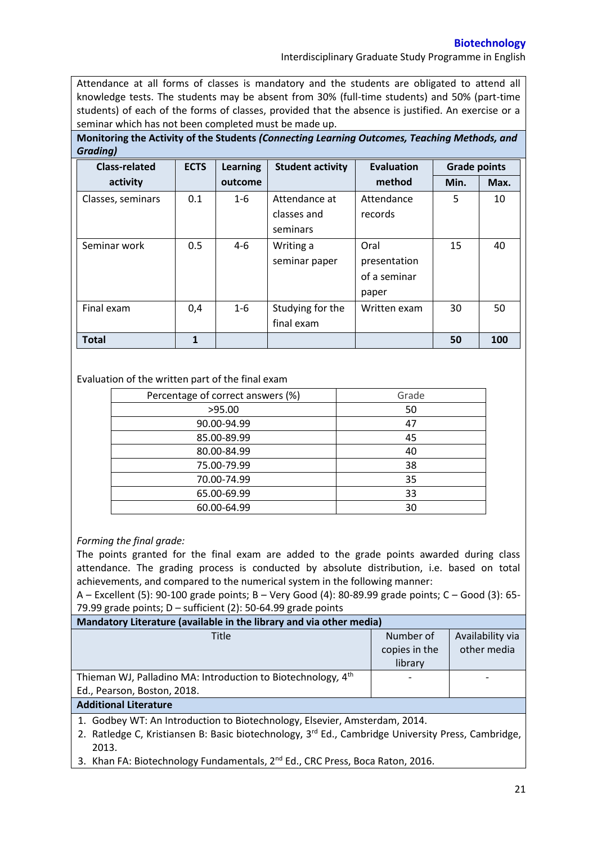## **Biotechnology**

Interdisciplinary Graduate Study Programme in English

Attendance at all forms of classes is mandatory and the students are obligated to attend all knowledge tests. The students may be absent from 30% (full-time students) and 50% (part-time students) of each of the forms of classes, provided that the absence is justified. An exercise or a seminar which has not been completed must be made up.

**Monitoring the Activity of the Students** *(Connecting Learning Outcomes, Teaching Methods, and Grading)*

| <b>Class-related</b> | <b>ECTS</b> | <b>Learning</b> | <b>Student activity</b> | Evaluation   | <b>Grade points</b> |      |
|----------------------|-------------|-----------------|-------------------------|--------------|---------------------|------|
| activity             |             | outcome         |                         | method       | Min.                | Max. |
| Classes, seminars    | 0.1         | $1 - 6$         | Attendance at           | Attendance   | 5                   | 10   |
|                      |             |                 | classes and             | records      |                     |      |
|                      |             |                 | seminars                |              |                     |      |
| Seminar work         | 0.5         | $4-6$           | Writing a               | Oral         | 15                  | 40   |
|                      |             |                 | seminar paper           | presentation |                     |      |
|                      |             |                 |                         | of a seminar |                     |      |
|                      |             |                 |                         | paper        |                     |      |
| Final exam           | 0,4         | $1 - 6$         | Studying for the        | Written exam | 30                  | 50   |
|                      |             |                 | final exam              |              |                     |      |
| <b>Total</b>         | 1           |                 |                         |              | 50                  | 100  |

## Evaluation of the written part of the final exam

| Percentage of correct answers (%) | Grade |  |
|-----------------------------------|-------|--|
| >95.00                            | 50    |  |
| 90.00-94.99                       | 47    |  |
| 85.00-89.99                       | 45    |  |
| 80.00-84.99                       | 40    |  |
| 75.00-79.99                       | 38    |  |
| 70.00-74.99                       | 35    |  |
| 65.00-69.99                       | 33    |  |
| 60.00-64.99                       | 30    |  |

## *Forming the final grade:*

The points granted for the final exam are added to the grade points awarded during class attendance. The grading process is conducted by absolute distribution, i.e. based on total achievements, and compared to the numerical system in the following manner:

A – Excellent (5): 90-100 grade points; B – Very Good (4): 80-89.99 grade points; C – Good (3): 65- 79.99 grade points; D – sufficient (2): 50-64.99 grade points

| Mandatory Literature (available in the library and via other media)      |                                       |                                 |  |  |  |
|--------------------------------------------------------------------------|---------------------------------------|---------------------------------|--|--|--|
| Title                                                                    | Number of<br>copies in the<br>library | Availability via<br>other media |  |  |  |
| Thieman WJ, Palladino MA: Introduction to Biotechnology, 4 <sup>th</sup> |                                       |                                 |  |  |  |
| Ed., Pearson, Boston, 2018.                                              |                                       |                                 |  |  |  |
| <b>Additional Literature</b>                                             |                                       |                                 |  |  |  |
|                                                                          |                                       |                                 |  |  |  |

1. Godbey WT: An Introduction to Biotechnology, Elsevier, Amsterdam, 2014.

- 2. Ratledge C, Kristiansen B: Basic biotechnology, 3<sup>rd</sup> Ed., Cambridge University Press, Cambridge, 2013.
- 3. Khan FA: Biotechnology Fundamentals, 2<sup>nd</sup> Ed., CRC Press, Boca Raton, 2016.